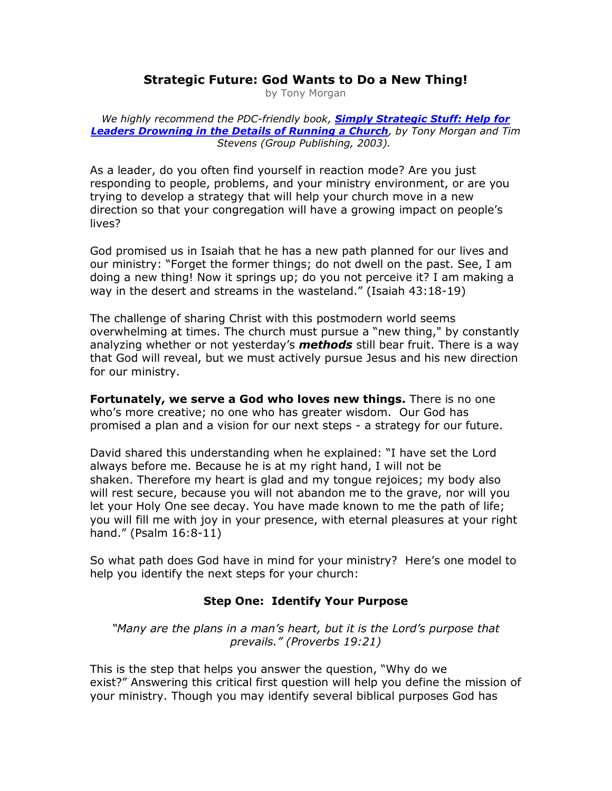# **Strategic Future: God Wants to Do a New Thing!**

by Tony Morgan

*We highly recommend the PDC-friendly book, [Simply Strategic Stuff: Help for](http://www.amazon.com/exec/obidos/ASIN/0764426257/pastorscom02)  [Leaders Drowning in the Details of Running a Church](http://www.amazon.com/exec/obidos/ASIN/0764426257/pastorscom02), by Tony Morgan and Tim Stevens (Group Publishing, 2003).*

As a leader, do you often find yourself in reaction mode? Are you just responding to people, problems, and your ministry environment, or are you trying to develop a strategy that will help your church move in a new direction so that your congregation will have a growing impact on people's lives?

God promised us in Isaiah that he has a new path planned for our lives and our ministry: "Forget the former things; do not dwell on the past. See, I am doing a new thing! Now it springs up; do you not perceive it? I am making a way in the desert and streams in the wasteland." (Isaiah 43:18-19)

The challenge of sharing Christ with this postmodern world seems overwhelming at times. The church must pursue a "new thing," by constantly analyzing whether or not yesterday's *methods* still bear fruit. There is a way that God will reveal, but we must actively pursue Jesus and his new direction for our ministry.

**Fortunately, we serve a God who loves new things.** There is no one who's more creative; no one who has greater wisdom. Our God has promised a plan and a vision for our next steps - a strategy for our future.

David shared this understanding when he explained: "I have set the Lord always before me. Because he is at my right hand, I will not be shaken. Therefore my heart is glad and my tongue rejoices; my body also will rest secure, because you will not abandon me to the grave, nor will you let your Holy One see decay. You have made known to me the path of life; you will fill me with joy in your presence, with eternal pleasures at your right hand." (Psalm 16:8-11)

So what path does God have in mind for your ministry? Here's one model to help you identify the next steps for your church:

### **Step One: Identify Your Purpose**

*"Many are the plans in a man's heart, but it is the Lord's purpose that prevails." (Proverbs 19:21)*

This is the step that helps you answer the question, "Why do we exist?" Answering this critical first question will help you define the mission of your ministry. Though you may identify several biblical purposes God has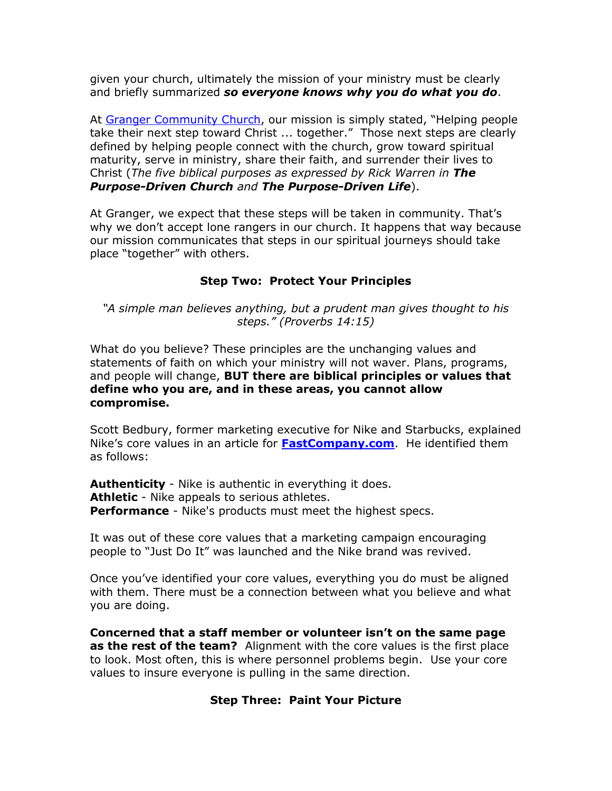given your church, ultimately the mission of your ministry must be clearly and briefly summarized *so everyone knows why you do what you do*.

At [Granger Community Church](http://www.gccwired.com/), our mission is simply stated, "Helping people take their next step toward Christ ... together." Those next steps are clearly defined by helping people connect with the church, grow toward spiritual maturity, serve in ministry, share their faith, and surrender their lives to Christ (*The five biblical purposes as expressed by Rick Warren in The Purpose-Driven Church and The Purpose-Driven Life*).

At Granger, we expect that these steps will be taken in community. That's why we don't accept lone rangers in our church. It happens that way because our mission communicates that steps in our spiritual journeys should take place "together" with others.

### **Step Two: Protect Your Principles**

*"A simple man believes anything, but a prudent man gives thought to his steps." (Proverbs 14:15)*

What do you believe? These principles are the unchanging values and statements of faith on which your ministry will not waver. Plans, programs, and people will change, **BUT there are biblical principles or values that define who you are, and in these areas, you cannot allow compromise.**

Scott Bedbury, former marketing executive for Nike and Starbucks, explained Nike's core values in an article for **[FastCompany.com](http://www.fastcompany.com/)**. He identified them as follows:

**Authenticity** - Nike is authentic in everything it does. **Athletic** - Nike appeals to serious athletes. **Performance** - Nike's products must meet the highest specs.

It was out of these core values that a marketing campaign encouraging people to "Just Do It" was launched and the Nike brand was revived.

Once you've identified your core values, everything you do must be aligned with them. There must be a connection between what you believe and what you are doing.

**Concerned that a staff member or volunteer isn't on the same page as the rest of the team?** Alignment with the core values is the first place to look. Most often, this is where personnel problems begin. Use your core values to insure everyone is pulling in the same direction.

### **Step Three: Paint Your Picture**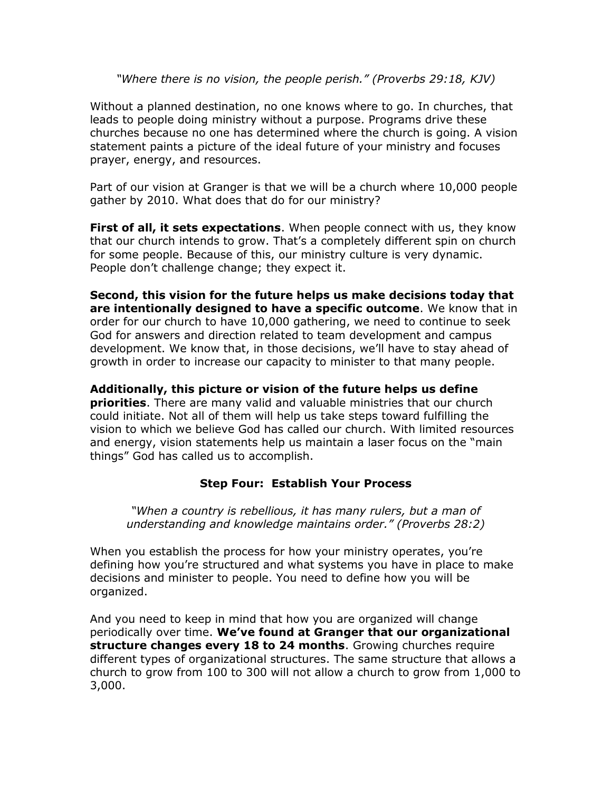*"Where there is no vision, the people perish." (Proverbs 29:18, KJV)*

Without a planned destination, no one knows where to go. In churches, that leads to people doing ministry without a purpose. Programs drive these churches because no one has determined where the church is going. A vision statement paints a picture of the ideal future of your ministry and focuses prayer, energy, and resources.

Part of our vision at Granger is that we will be a church where 10,000 people gather by 2010. What does that do for our ministry?

**First of all, it sets expectations**. When people connect with us, they know that our church intends to grow. That's a completely different spin on church for some people. Because of this, our ministry culture is very dynamic. People don't challenge change; they expect it.

**Second, this vision for the future helps us make decisions today that are intentionally designed to have a specific outcome**. We know that in order for our church to have 10,000 gathering, we need to continue to seek God for answers and direction related to team development and campus development. We know that, in those decisions, we'll have to stay ahead of growth in order to increase our capacity to minister to that many people.

**Additionally, this picture or vision of the future helps us define priorities**. There are many valid and valuable ministries that our church could initiate. Not all of them will help us take steps toward fulfilling the vision to which we believe God has called our church. With limited resources and energy, vision statements help us maintain a laser focus on the "main things" God has called us to accomplish.

### **Step Four: Establish Your Process**

*"When a country is rebellious, it has many rulers, but a man of understanding and knowledge maintains order." (Proverbs 28:2)*

When you establish the process for how your ministry operates, you're defining how you're structured and what systems you have in place to make decisions and minister to people. You need to define how you will be organized.

And you need to keep in mind that how you are organized will change periodically over time. **We've found at Granger that our organizational structure changes every 18 to 24 months**. Growing churches require different types of organizational structures. The same structure that allows a church to grow from 100 to 300 will not allow a church to grow from 1,000 to 3,000.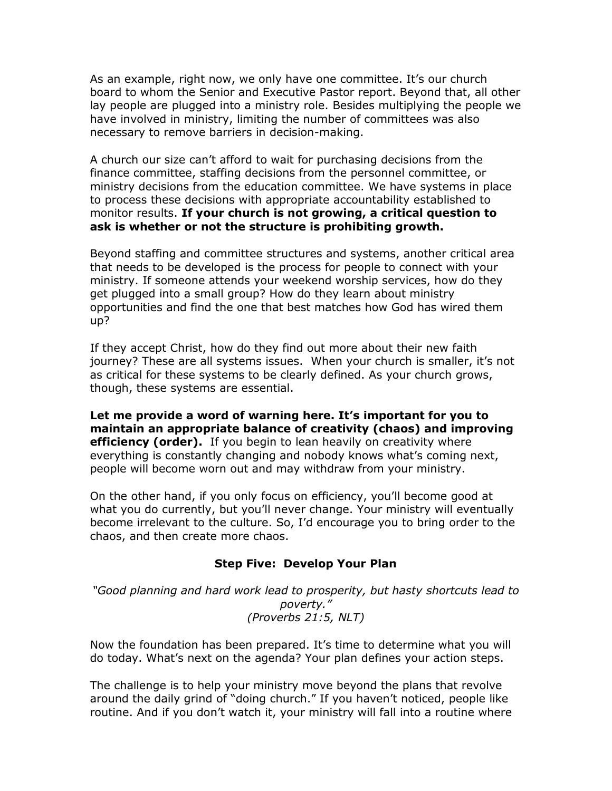As an example, right now, we only have one committee. It's our church board to whom the Senior and Executive Pastor report. Beyond that, all other lay people are plugged into a ministry role. Besides multiplying the people we have involved in ministry, limiting the number of committees was also necessary to remove barriers in decision-making.

A church our size can't afford to wait for purchasing decisions from the finance committee, staffing decisions from the personnel committee, or ministry decisions from the education committee. We have systems in place to process these decisions with appropriate accountability established to monitor results. **If your church is not growing, a critical question to ask is whether or not the structure is prohibiting growth.**

Beyond staffing and committee structures and systems, another critical area that needs to be developed is the process for people to connect with your ministry. If someone attends your weekend worship services, how do they get plugged into a small group? How do they learn about ministry opportunities and find the one that best matches how God has wired them up?

If they accept Christ, how do they find out more about their new faith journey? These are all systems issues. When your church is smaller, it's not as critical for these systems to be clearly defined. As your church grows, though, these systems are essential.

**Let me provide a word of warning here. It's important for you to maintain an appropriate balance of creativity (chaos) and improving efficiency (order).** If you begin to lean heavily on creativity where everything is constantly changing and nobody knows what's coming next, people will become worn out and may withdraw from your ministry.

On the other hand, if you only focus on efficiency, you'll become good at what you do currently, but you'll never change. Your ministry will eventually become irrelevant to the culture. So, I'd encourage you to bring order to the chaos, and then create more chaos.

### **Step Five: Develop Your Plan**

*"Good planning and hard work lead to prosperity, but hasty shortcuts lead to poverty." (Proverbs 21:5, NLT)*

Now the foundation has been prepared. It's time to determine what you will do today. What's next on the agenda? Your plan defines your action steps.

The challenge is to help your ministry move beyond the plans that revolve around the daily grind of "doing church." If you haven't noticed, people like routine. And if you don't watch it, your ministry will fall into a routine where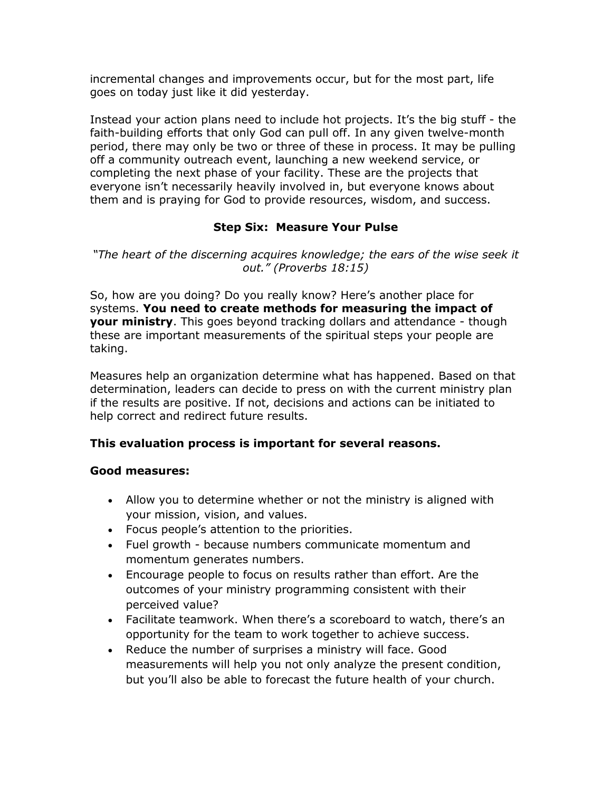incremental changes and improvements occur, but for the most part, life goes on today just like it did yesterday.

Instead your action plans need to include hot projects. It's the big stuff - the faith-building efforts that only God can pull off. In any given twelve-month period, there may only be two or three of these in process. It may be pulling off a community outreach event, launching a new weekend service, or completing the next phase of your facility. These are the projects that everyone isn't necessarily heavily involved in, but everyone knows about them and is praying for God to provide resources, wisdom, and success.

## **Step Six: Measure Your Pulse**

*"The heart of the discerning acquires knowledge; the ears of the wise seek it out." (Proverbs 18:15)*

So, how are you doing? Do you really know? Here's another place for systems. **You need to create methods for measuring the impact of your ministry**. This goes beyond tracking dollars and attendance - though these are important measurements of the spiritual steps your people are taking.

Measures help an organization determine what has happened. Based on that determination, leaders can decide to press on with the current ministry plan if the results are positive. If not, decisions and actions can be initiated to help correct and redirect future results.

### **This evaluation process is important for several reasons.**

#### **Good measures:**

- Allow you to determine whether or not the ministry is aligned with your mission, vision, and values.
- Focus people's attention to the priorities.
- Fuel growth because numbers communicate momentum and momentum generates numbers.
- Encourage people to focus on results rather than effort. Are the outcomes of your ministry programming consistent with their perceived value?
- Facilitate teamwork. When there's a scoreboard to watch, there's an opportunity for the team to work together to achieve success.
- Reduce the number of surprises a ministry will face. Good measurements will help you not only analyze the present condition, but you'll also be able to forecast the future health of your church.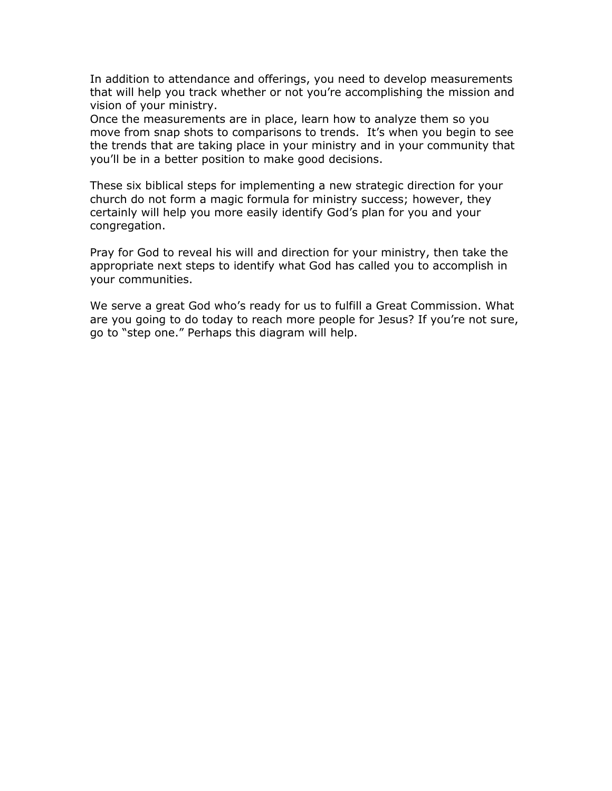In addition to attendance and offerings, you need to develop measurements that will help you track whether or not you're accomplishing the mission and vision of your ministry.

Once the measurements are in place, learn how to analyze them so you move from snap shots to comparisons to trends. It's when you begin to see the trends that are taking place in your ministry and in your community that you'll be in a better position to make good decisions.

These six biblical steps for implementing a new strategic direction for your church do not form a magic formula for ministry success; however, they certainly will help you more easily identify God's plan for you and your congregation.

Pray for God to reveal his will and direction for your ministry, then take the appropriate next steps to identify what God has called you to accomplish in your communities.

We serve a great God who's ready for us to fulfill a Great Commission. What are you going to do today to reach more people for Jesus? If you're not sure, go to "step one." Perhaps this diagram will help.